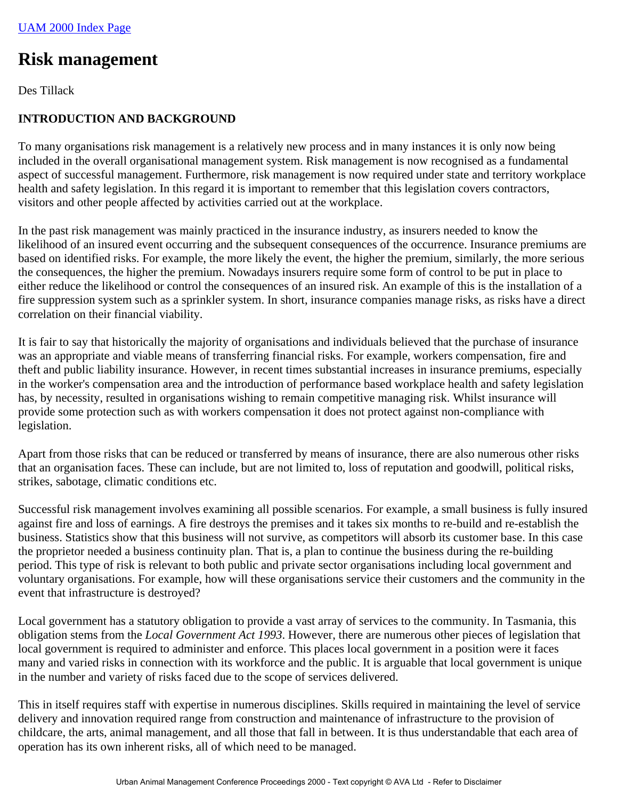# **Risk management**

Des Tillack

# **INTRODUCTION AND BACKGROUND**

To many organisations risk management is a relatively new process and in many instances it is only now being included in the overall organisational management system. Risk management is now recognised as a fundamental aspect of successful management. Furthermore, risk management is now required under state and territory workplace health and safety legislation. In this regard it is important to remember that this legislation covers contractors, visitors and other people affected by activities carried out at the workplace.

In the past risk management was mainly practiced in the insurance industry, as insurers needed to know the likelihood of an insured event occurring and the subsequent consequences of the occurrence. Insurance premiums are based on identified risks. For example, the more likely the event, the higher the premium, similarly, the more serious the consequences, the higher the premium. Nowadays insurers require some form of control to be put in place to either reduce the likelihood or control the consequences of an insured risk. An example of this is the installation of a fire suppression system such as a sprinkler system. In short, insurance companies manage risks, as risks have a direct correlation on their financial viability.

It is fair to say that historically the majority of organisations and individuals believed that the purchase of insurance was an appropriate and viable means of transferring financial risks. For example, workers compensation, fire and theft and public liability insurance. However, in recent times substantial increases in insurance premiums, especially in the worker's compensation area and the introduction of performance based workplace health and safety legislation has, by necessity, resulted in organisations wishing to remain competitive managing risk. Whilst insurance will provide some protection such as with workers compensation it does not protect against non-compliance with legislation.

Apart from those risks that can be reduced or transferred by means of insurance, there are also numerous other risks that an organisation faces. These can include, but are not limited to, loss of reputation and goodwill, political risks, strikes, sabotage, climatic conditions etc.

Successful risk management involves examining all possible scenarios. For example, a small business is fully insured against fire and loss of earnings. A fire destroys the premises and it takes six months to re-build and re-establish the business. Statistics show that this business will not survive, as competitors will absorb its customer base. In this case the proprietor needed a business continuity plan. That is, a plan to continue the business during the re-building period. This type of risk is relevant to both public and private sector organisations including local government and voluntary organisations. For example, how will these organisations service their customers and the community in the event that infrastructure is destroyed?

Local government has a statutory obligation to provide a vast array of services to the community. In Tasmania, this obligation stems from the *Local Government Act 1993*. However, there are numerous other pieces of legislation that local government is required to administer and enforce. This places local government in a position were it faces many and varied risks in connection with its workforce and the public. It is arguable that local government is unique in the number and variety of risks faced due to the scope of services delivered.

This in itself requires staff with expertise in numerous disciplines. Skills required in maintaining the level of service delivery and innovation required range from construction and maintenance of infrastructure to the provision of childcare, the arts, animal management, and all those that fall in between. It is thus understandable that each area of operation has its own inherent risks, all of which need to be managed.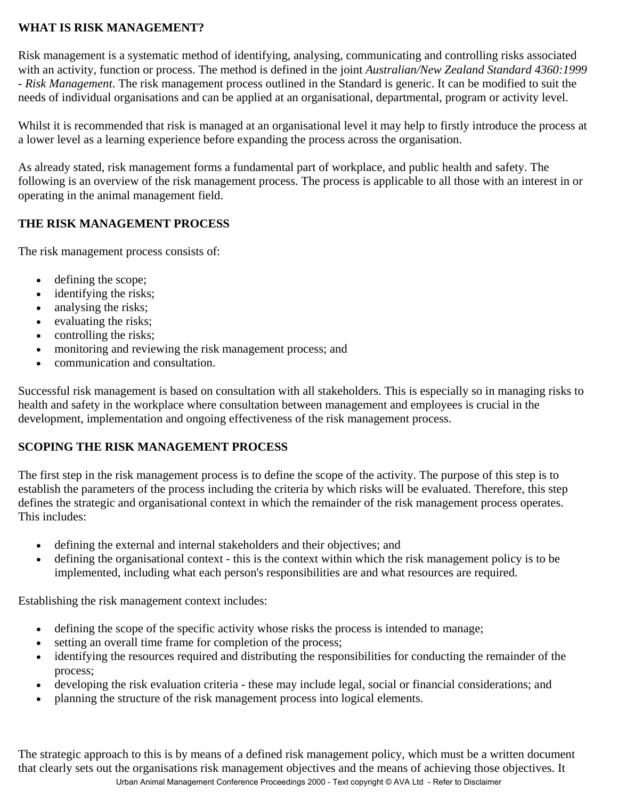#### **WHAT IS RISK MANAGEMENT?**

Risk management is a systematic method of identifying, analysing, communicating and controlling risks associated with an activity, function or process. The method is defined in the joint *Australian/New Zealand Standard 4360:1999 - Risk Management*. The risk management process outlined in the Standard is generic. It can be modified to suit the needs of individual organisations and can be applied at an organisational, departmental, program or activity level.

Whilst it is recommended that risk is managed at an organisational level it may help to firstly introduce the process at a lower level as a learning experience before expanding the process across the organisation.

As already stated, risk management forms a fundamental part of workplace, and public health and safety. The following is an overview of the risk management process. The process is applicable to all those with an interest in or operating in the animal management field.

#### **THE RISK MANAGEMENT PROCESS**

The risk management process consists of:

- defining the scope;
- identifying the risks;
- analysing the risks;
- evaluating the risks;
- controlling the risks;
- monitoring and reviewing the risk management process; and
- communication and consultation.

Successful risk management is based on consultation with all stakeholders. This is especially so in managing risks to health and safety in the workplace where consultation between management and employees is crucial in the development, implementation and ongoing effectiveness of the risk management process.

# **SCOPING THE RISK MANAGEMENT PROCESS**

The first step in the risk management process is to define the scope of the activity. The purpose of this step is to establish the parameters of the process including the criteria by which risks will be evaluated. Therefore, this step defines the strategic and organisational context in which the remainder of the risk management process operates. This includes:

- defining the external and internal stakeholders and their objectives; and
- defining the organisational context this is the context within which the risk management policy is to be implemented, including what each person's responsibilities are and what resources are required.

Establishing the risk management context includes:

- defining the scope of the specific activity whose risks the process is intended to manage;
- setting an overall time frame for completion of the process;
- identifying the resources required and distributing the responsibilities for conducting the remainder of the process;
- developing the risk evaluation criteria these may include legal, social or financial considerations; and
- planning the structure of the risk management process into logical elements.

The strategic approach to this is by means of a defined risk management policy, which must be a written document that clearly sets out the organisations risk management objectives and the means of achieving those objectives. It Urban Animal Management Conference Proceedings 2000 - Text copyright © AVA Ltd - Refer to Disclaimer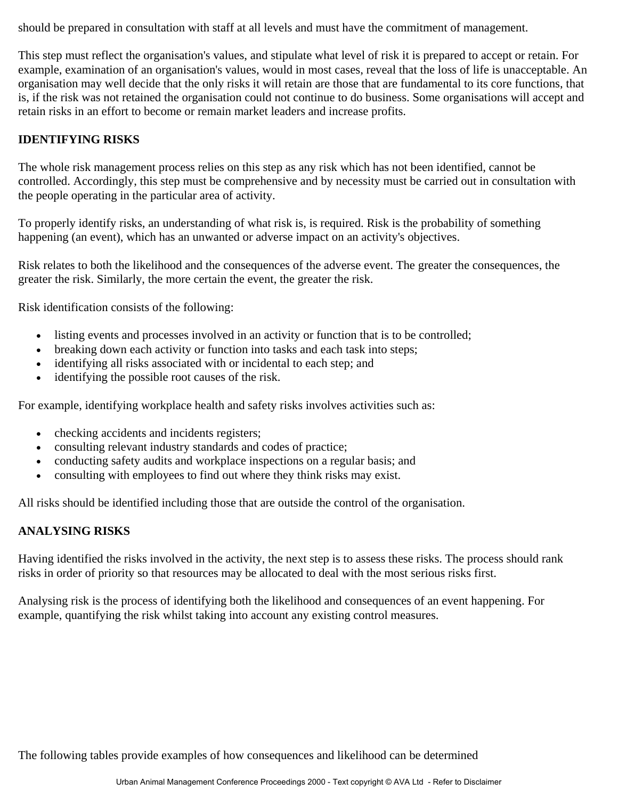should be prepared in consultation with staff at all levels and must have the commitment of management.

This step must reflect the organisation's values, and stipulate what level of risk it is prepared to accept or retain. For example, examination of an organisation's values, would in most cases, reveal that the loss of life is unacceptable. An organisation may well decide that the only risks it will retain are those that are fundamental to its core functions, that is, if the risk was not retained the organisation could not continue to do business. Some organisations will accept and retain risks in an effort to become or remain market leaders and increase profits.

#### **IDENTIFYING RISKS**

The whole risk management process relies on this step as any risk which has not been identified, cannot be controlled. Accordingly, this step must be comprehensive and by necessity must be carried out in consultation with the people operating in the particular area of activity.

To properly identify risks, an understanding of what risk is, is required. Risk is the probability of something happening (an event), which has an unwanted or adverse impact on an activity's objectives.

Risk relates to both the likelihood and the consequences of the adverse event. The greater the consequences, the greater the risk. Similarly, the more certain the event, the greater the risk.

Risk identification consists of the following:

- listing events and processes involved in an activity or function that is to be controlled;
- breaking down each activity or function into tasks and each task into steps;
- identifying all risks associated with or incidental to each step; and
- identifying the possible root causes of the risk.

For example, identifying workplace health and safety risks involves activities such as:

- checking accidents and incidents registers;
- consulting relevant industry standards and codes of practice;
- conducting safety audits and workplace inspections on a regular basis; and
- consulting with employees to find out where they think risks may exist.

All risks should be identified including those that are outside the control of the organisation.

#### **ANALYSING RISKS**

Having identified the risks involved in the activity, the next step is to assess these risks. The process should rank risks in order of priority so that resources may be allocated to deal with the most serious risks first.

Analysing risk is the process of identifying both the likelihood and consequences of an event happening. For example, quantifying the risk whilst taking into account any existing control measures.

The following tables provide examples of how consequences and likelihood can be determined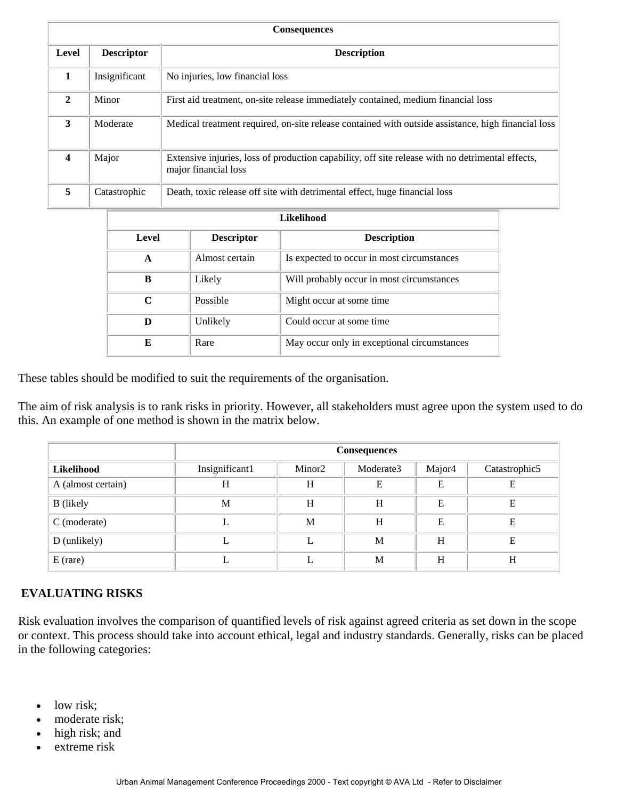| <b>Consequences</b> |                   |                                                                                                                          |  |  |  |
|---------------------|-------------------|--------------------------------------------------------------------------------------------------------------------------|--|--|--|
| Level               | <b>Descriptor</b> | <b>Description</b>                                                                                                       |  |  |  |
| 1                   | Insignificant     | No injuries, low financial loss                                                                                          |  |  |  |
| $\mathbf{2}$        | Minor             | First aid treatment, on-site release immediately contained, medium financial loss                                        |  |  |  |
| 3                   | Moderate          | Medical treatment required, on-site release contained with outside assistance, high financial loss                       |  |  |  |
| 4                   | Major             | Extensive injuries, loss of production capability, off site release with no detrimental effects,<br>major financial loss |  |  |  |
| 5                   | Catastrophic      | Death, toxic release off site with detrimental effect, huge financial loss                                               |  |  |  |

| Likelihood |                   |                                             |  |  |  |
|------------|-------------------|---------------------------------------------|--|--|--|
| Level      | <b>Descriptor</b> | <b>Description</b>                          |  |  |  |
| A          | Almost certain    | Is expected to occur in most circumstances  |  |  |  |
| B          | Likely            | Will probably occur in most circumstances   |  |  |  |
| C          | Possible          | Might occur at some time.                   |  |  |  |
| D          | Unlikely          | Could occur at some time                    |  |  |  |
| E          | Rare              | May occur only in exceptional circumstances |  |  |  |

These tables should be modified to suit the requirements of the organisation.

The aim of risk analysis is to rank risks in priority. However, all stakeholders must agree upon the system used to do this. An example of one method is shown in the matrix below.

|                    | <b>Consequences</b> |                    |           |                    |               |
|--------------------|---------------------|--------------------|-----------|--------------------|---------------|
| Likelihood         | Insignificant1      | Minor <sub>2</sub> | Moderate3 | Major <sub>4</sub> | Catastrophic5 |
| A (almost certain) | H                   | H                  | E         | E                  | E             |
| <b>B</b> (likely   | M                   | H                  | H         | E                  | E             |
| $C$ (moderate)     |                     | M                  | H         | E                  | E             |
| D (unlikely)       |                     | L                  | M         | H                  | E             |
| $E$ (rare)         |                     | L                  | M         | H                  | Н             |

#### **EVALUATING RISKS**

Risk evaluation involves the comparison of quantified levels of risk against agreed criteria as set down in the scope or context. This process should take into account ethical, legal and industry standards. Generally, risks can be placed in the following categories:

- low risk;
- moderate risk;
- high risk; and
- extreme risk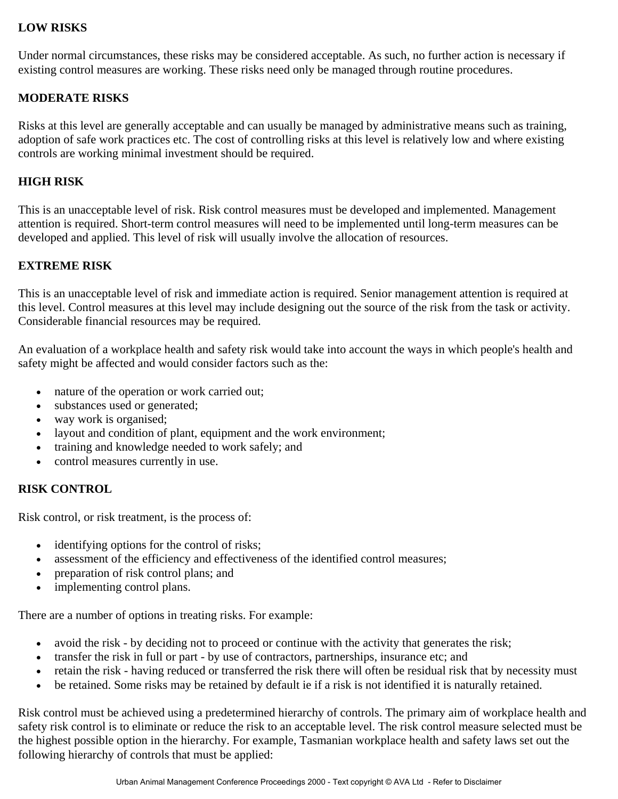#### **LOW RISKS**

Under normal circumstances, these risks may be considered acceptable. As such, no further action is necessary if existing control measures are working. These risks need only be managed through routine procedures.

#### **MODERATE RISKS**

Risks at this level are generally acceptable and can usually be managed by administrative means such as training, adoption of safe work practices etc. The cost of controlling risks at this level is relatively low and where existing controls are working minimal investment should be required.

#### **HIGH RISK**

This is an unacceptable level of risk. Risk control measures must be developed and implemented. Management attention is required. Short-term control measures will need to be implemented until long-term measures can be developed and applied. This level of risk will usually involve the allocation of resources.

#### **EXTREME RISK**

This is an unacceptable level of risk and immediate action is required. Senior management attention is required at this level. Control measures at this level may include designing out the source of the risk from the task or activity. Considerable financial resources may be required.

An evaluation of a workplace health and safety risk would take into account the ways in which people's health and safety might be affected and would consider factors such as the:

- nature of the operation or work carried out;
- substances used or generated;
- way work is organised;
- layout and condition of plant, equipment and the work environment;
- training and knowledge needed to work safely; and
- control measures currently in use.

#### **RISK CONTROL**

Risk control, or risk treatment, is the process of:

- identifying options for the control of risks;
- assessment of the efficiency and effectiveness of the identified control measures;
- preparation of risk control plans; and
- implementing control plans.

There are a number of options in treating risks. For example:

- avoid the risk by deciding not to proceed or continue with the activity that generates the risk;
- transfer the risk in full or part by use of contractors, partnerships, insurance etc; and
- retain the risk having reduced or transferred the risk there will often be residual risk that by necessity must
- be retained. Some risks may be retained by default ie if a risk is not identified it is naturally retained.

Risk control must be achieved using a predetermined hierarchy of controls. The primary aim of workplace health and safety risk control is to eliminate or reduce the risk to an acceptable level. The risk control measure selected must be the highest possible option in the hierarchy. For example, Tasmanian workplace health and safety laws set out the following hierarchy of controls that must be applied: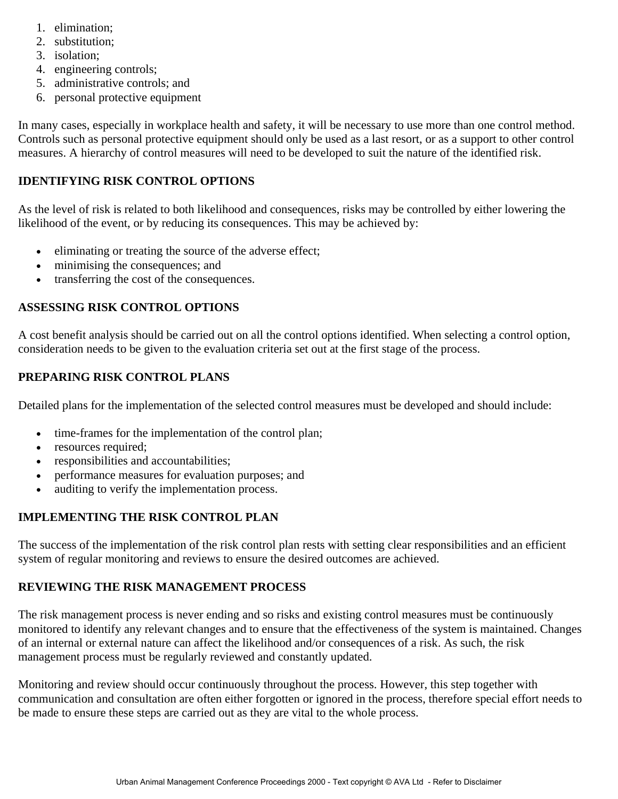- 1. elimination;
- 2. substitution;
- 3. isolation;
- 4. engineering controls;
- 5. administrative controls; and
- 6. personal protective equipment

In many cases, especially in workplace health and safety, it will be necessary to use more than one control method. Controls such as personal protective equipment should only be used as a last resort, or as a support to other control measures. A hierarchy of control measures will need to be developed to suit the nature of the identified risk.

### **IDENTIFYING RISK CONTROL OPTIONS**

As the level of risk is related to both likelihood and consequences, risks may be controlled by either lowering the likelihood of the event, or by reducing its consequences. This may be achieved by:

- eliminating or treating the source of the adverse effect;
- minimising the consequences; and
- transferring the cost of the consequences.

#### **ASSESSING RISK CONTROL OPTIONS**

A cost benefit analysis should be carried out on all the control options identified. When selecting a control option, consideration needs to be given to the evaluation criteria set out at the first stage of the process.

#### **PREPARING RISK CONTROL PLANS**

Detailed plans for the implementation of the selected control measures must be developed and should include:

- time-frames for the implementation of the control plan;
- resources required;
- responsibilities and accountabilities;
- performance measures for evaluation purposes; and
- auditing to verify the implementation process.

# **IMPLEMENTING THE RISK CONTROL PLAN**

The success of the implementation of the risk control plan rests with setting clear responsibilities and an efficient system of regular monitoring and reviews to ensure the desired outcomes are achieved.

#### **REVIEWING THE RISK MANAGEMENT PROCESS**

The risk management process is never ending and so risks and existing control measures must be continuously monitored to identify any relevant changes and to ensure that the effectiveness of the system is maintained. Changes of an internal or external nature can affect the likelihood and/or consequences of a risk. As such, the risk management process must be regularly reviewed and constantly updated.

Monitoring and review should occur continuously throughout the process. However, this step together with communication and consultation are often either forgotten or ignored in the process, therefore special effort needs to be made to ensure these steps are carried out as they are vital to the whole process.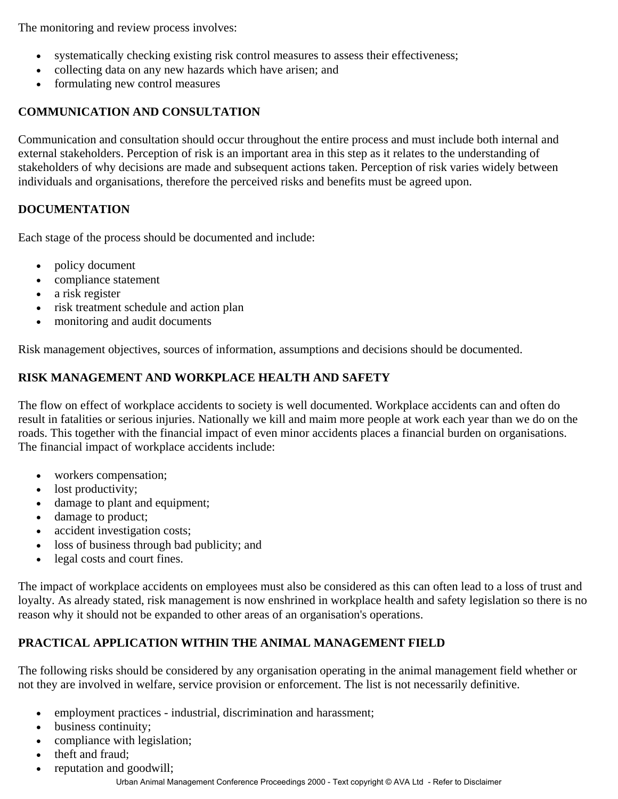The monitoring and review process involves:

- systematically checking existing risk control measures to assess their effectiveness;
- collecting data on any new hazards which have arisen; and
- formulating new control measures

# **COMMUNICATION AND CONSULTATION**

Communication and consultation should occur throughout the entire process and must include both internal and external stakeholders. Perception of risk is an important area in this step as it relates to the understanding of stakeholders of why decisions are made and subsequent actions taken. Perception of risk varies widely between individuals and organisations, therefore the perceived risks and benefits must be agreed upon.

# **DOCUMENTATION**

Each stage of the process should be documented and include:

- policy document
- compliance statement
- a risk register
- risk treatment schedule and action plan
- monitoring and audit documents

Risk management objectives, sources of information, assumptions and decisions should be documented.

# **RISK MANAGEMENT AND WORKPLACE HEALTH AND SAFETY**

The flow on effect of workplace accidents to society is well documented. Workplace accidents can and often do result in fatalities or serious injuries. Nationally we kill and maim more people at work each year than we do on the roads. This together with the financial impact of even minor accidents places a financial burden on organisations. The financial impact of workplace accidents include:

- workers compensation;
- lost productivity;
- damage to plant and equipment;
- damage to product;
- accident investigation costs;
- loss of business through bad publicity; and
- legal costs and court fines.

The impact of workplace accidents on employees must also be considered as this can often lead to a loss of trust and loyalty. As already stated, risk management is now enshrined in workplace health and safety legislation so there is no reason why it should not be expanded to other areas of an organisation's operations.

# **PRACTICAL APPLICATION WITHIN THE ANIMAL MANAGEMENT FIELD**

The following risks should be considered by any organisation operating in the animal management field whether or not they are involved in welfare, service provision or enforcement. The list is not necessarily definitive.

- employment practices industrial, discrimination and harassment;
- business continuity;
- compliance with legislation;
- theft and fraud;
- reputation and goodwill;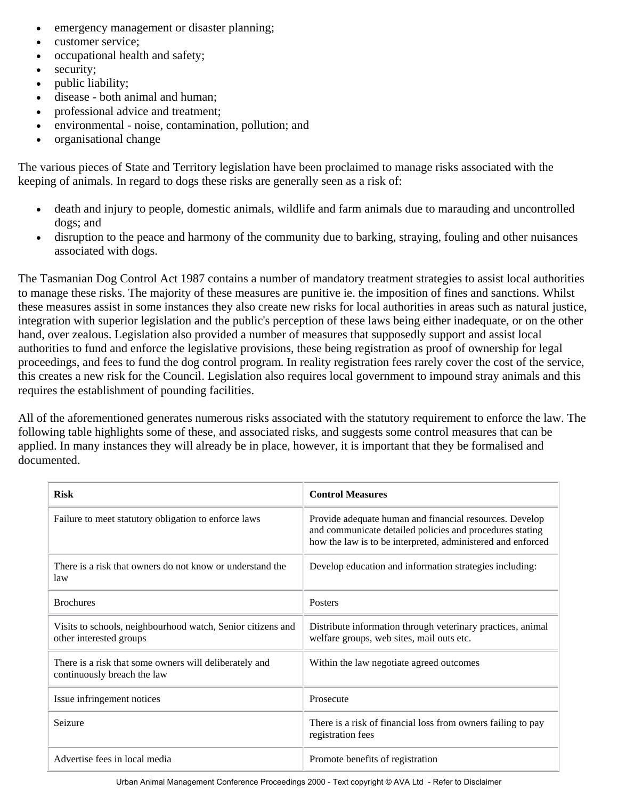- emergency management or disaster planning;
- customer service:
- occupational health and safety;
- security;
- public liability;
- disease both animal and human;
- professional advice and treatment;
- environmental noise, contamination, pollution; and
- organisational change

The various pieces of State and Territory legislation have been proclaimed to manage risks associated with the keeping of animals. In regard to dogs these risks are generally seen as a risk of:

- death and injury to people, domestic animals, wildlife and farm animals due to marauding and uncontrolled dogs; and
- disruption to the peace and harmony of the community due to barking, straying, fouling and other nuisances associated with dogs.

The Tasmanian Dog Control Act 1987 contains a number of mandatory treatment strategies to assist local authorities to manage these risks. The majority of these measures are punitive ie. the imposition of fines and sanctions. Whilst these measures assist in some instances they also create new risks for local authorities in areas such as natural justice, integration with superior legislation and the public's perception of these laws being either inadequate, or on the other hand, over zealous. Legislation also provided a number of measures that supposedly support and assist local authorities to fund and enforce the legislative provisions, these being registration as proof of ownership for legal proceedings, and fees to fund the dog control program. In reality registration fees rarely cover the cost of the service, this creates a new risk for the Council. Legislation also requires local government to impound stray animals and this requires the establishment of pounding facilities.

All of the aforementioned generates numerous risks associated with the statutory requirement to enforce the law. The following table highlights some of these, and associated risks, and suggests some control measures that can be applied. In many instances they will already be in place, however, it is important that they be formalised and documented.

| <b>Risk</b>                                                                            | <b>Control Measures</b>                                                                                                                                                            |  |  |
|----------------------------------------------------------------------------------------|------------------------------------------------------------------------------------------------------------------------------------------------------------------------------------|--|--|
| Failure to meet statutory obligation to enforce laws                                   | Provide adequate human and financial resources. Develop<br>and communicate detailed policies and procedures stating<br>how the law is to be interpreted, administered and enforced |  |  |
| There is a risk that owners do not know or understand the<br>law                       | Develop education and information strategies including:                                                                                                                            |  |  |
| <b>Brochures</b>                                                                       | <b>Posters</b>                                                                                                                                                                     |  |  |
| Visits to schools, neighbourhood watch, Senior citizens and<br>other interested groups | Distribute information through veterinary practices, animal<br>welfare groups, web sites, mail outs etc.                                                                           |  |  |
| There is a risk that some owners will deliberately and<br>continuously breach the law  | Within the law negotiate agreed outcomes                                                                                                                                           |  |  |
| Issue infringement notices                                                             | Prosecute                                                                                                                                                                          |  |  |
| Seizure                                                                                | There is a risk of financial loss from owners failing to pay<br>registration fees                                                                                                  |  |  |
| Advertise fees in local media                                                          | Promote benefits of registration                                                                                                                                                   |  |  |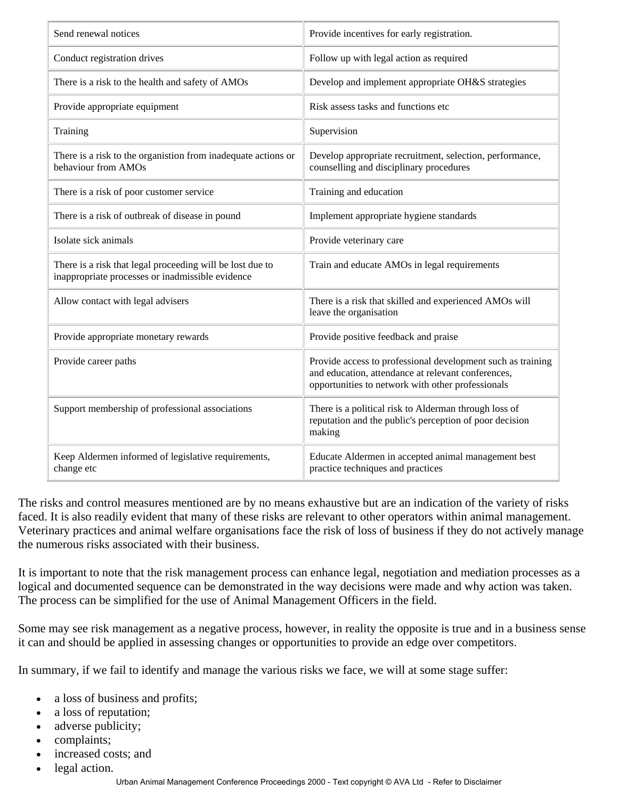| Send renewal notices                                                                                          | Provide incentives for early registration.                                                                                                                             |  |  |
|---------------------------------------------------------------------------------------------------------------|------------------------------------------------------------------------------------------------------------------------------------------------------------------------|--|--|
| Conduct registration drives                                                                                   | Follow up with legal action as required                                                                                                                                |  |  |
| There is a risk to the health and safety of AMOs                                                              | Develop and implement appropriate OH&S strategies                                                                                                                      |  |  |
| Provide appropriate equipment                                                                                 | Risk assess tasks and functions etc                                                                                                                                    |  |  |
| Training                                                                                                      | Supervision                                                                                                                                                            |  |  |
| There is a risk to the organistion from inadequate actions or<br>behaviour from AMOs                          | Develop appropriate recruitment, selection, performance,<br>counselling and disciplinary procedures                                                                    |  |  |
| There is a risk of poor customer service                                                                      | Training and education                                                                                                                                                 |  |  |
| There is a risk of outbreak of disease in pound                                                               | Implement appropriate hygiene standards                                                                                                                                |  |  |
| Isolate sick animals                                                                                          | Provide veterinary care                                                                                                                                                |  |  |
| There is a risk that legal proceeding will be lost due to<br>inappropriate processes or inadmissible evidence | Train and educate AMOs in legal requirements                                                                                                                           |  |  |
| Allow contact with legal advisers                                                                             | There is a risk that skilled and experienced AMOs will<br>leave the organisation                                                                                       |  |  |
| Provide appropriate monetary rewards                                                                          | Provide positive feedback and praise                                                                                                                                   |  |  |
| Provide career paths                                                                                          | Provide access to professional development such as training<br>and education, attendance at relevant conferences,<br>opportunities to network with other professionals |  |  |
| Support membership of professional associations                                                               | There is a political risk to Alderman through loss of<br>reputation and the public's perception of poor decision<br>making                                             |  |  |
| Keep Aldermen informed of legislative requirements,<br>change etc                                             | Educate Aldermen in accepted animal management best<br>practice techniques and practices                                                                               |  |  |

The risks and control measures mentioned are by no means exhaustive but are an indication of the variety of risks faced. It is also readily evident that many of these risks are relevant to other operators within animal management. Veterinary practices and animal welfare organisations face the risk of loss of business if they do not actively manage the numerous risks associated with their business.

It is important to note that the risk management process can enhance legal, negotiation and mediation processes as a logical and documented sequence can be demonstrated in the way decisions were made and why action was taken. The process can be simplified for the use of Animal Management Officers in the field.

Some may see risk management as a negative process, however, in reality the opposite is true and in a business sense it can and should be applied in assessing changes or opportunities to provide an edge over competitors.

In summary, if we fail to identify and manage the various risks we face, we will at some stage suffer:

- a loss of business and profits;
- a loss of reputation;
- adverse publicity;
- complaints;
- increased costs; and
- legal action.